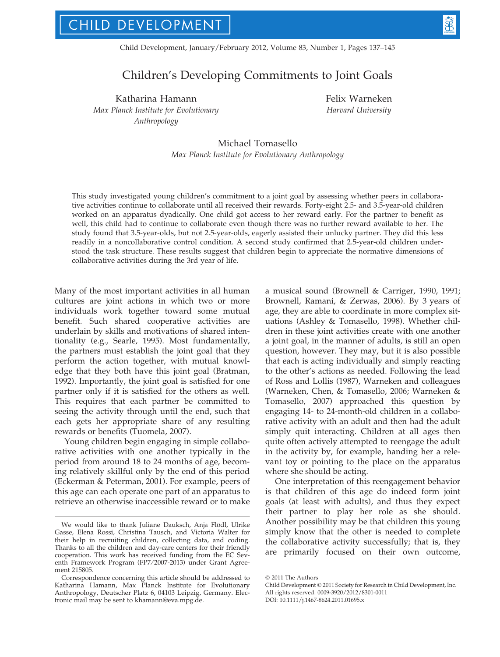Child Development, January/February 2012, Volume 83, Number 1, Pages 137–145

# Children's Developing Commitments to Joint Goals

Katharina Hamann Max Planck Institute for Evolutionary Anthropology

Felix Warneken Harvard University

## Michael Tomasello Max Planck Institute for Evolutionary Anthropology

This study investigated young children's commitment to a joint goal by assessing whether peers in collaborative activities continue to collaborate until all received their rewards. Forty-eight 2.5- and 3.5-year-old children worked on an apparatus dyadically. One child got access to her reward early. For the partner to benefit as well, this child had to continue to collaborate even though there was no further reward available to her. The study found that 3.5-year-olds, but not 2.5-year-olds, eagerly assisted their unlucky partner. They did this less readily in a noncollaborative control condition. A second study confirmed that 2.5-year-old children understood the task structure. These results suggest that children begin to appreciate the normative dimensions of collaborative activities during the 3rd year of life.

Many of the most important activities in all human cultures are joint actions in which two or more individuals work together toward some mutual benefit. Such shared cooperative activities are underlain by skills and motivations of shared intentionality (e.g., Searle, 1995). Most fundamentally, the partners must establish the joint goal that they perform the action together, with mutual knowledge that they both have this joint goal (Bratman, 1992). Importantly, the joint goal is satisfied for one partner only if it is satisfied for the others as well. This requires that each partner be committed to seeing the activity through until the end, such that each gets her appropriate share of any resulting rewards or benefits (Tuomela, 2007).

Young children begin engaging in simple collaborative activities with one another typically in the period from around 18 to 24 months of age, becoming relatively skillful only by the end of this period (Eckerman & Peterman, 2001). For example, peers of this age can each operate one part of an apparatus to retrieve an otherwise inaccessible reward or to make

a musical sound (Brownell & Carriger, 1990, 1991; Brownell, Ramani, & Zerwas, 2006). By 3 years of age, they are able to coordinate in more complex situations (Ashley & Tomasello, 1998). Whether children in these joint activities create with one another a joint goal, in the manner of adults, is still an open question, however. They may, but it is also possible that each is acting individually and simply reacting to the other's actions as needed. Following the lead of Ross and Lollis (1987), Warneken and colleagues (Warneken, Chen, & Tomasello, 2006; Warneken & Tomasello, 2007) approached this question by engaging 14- to 24-month-old children in a collaborative activity with an adult and then had the adult simply quit interacting. Children at all ages then quite often actively attempted to reengage the adult in the activity by, for example, handing her a relevant toy or pointing to the place on the apparatus where she should be acting.

One interpretation of this reengagement behavior is that children of this age do indeed form joint goals (at least with adults), and thus they expect their partner to play her role as she should. Another possibility may be that children this young simply know that the other is needed to complete the collaborative activity successfully; that is, they are primarily focused on their own outcome,

We would like to thank Juliane Dauksch, Anja Flödl, Ulrike Gasse, Elena Rossi, Christina Tausch, and Victoria Walter for their help in recruiting children, collecting data, and coding. Thanks to all the children and day-care centers for their friendly cooperation. This work has received funding from the EC Seventh Framework Program (FP7/2007-2013) under Grant Agreement 215805.

Correspondence concerning this article should be addressed to Katharina Hamann, Max Planck Institute for Evolutionary Anthropology, Deutscher Platz 6, 04103 Leipzig, Germany. Electronic mail may be sent to khamann@eva.mpg.de.

 $©$  2011 The Authors

Child Development @ 2011 Society for Research in Child Development, Inc. All rights reserved. 0009-3920/2012/8301-0011

DOI: 10.1111/j.1467-8624.2011.01695.x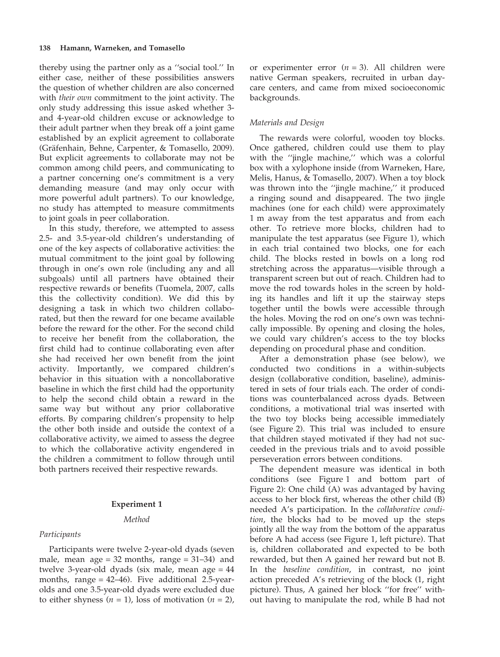thereby using the partner only as a ''social tool.'' In either case, neither of these possibilities answers the question of whether children are also concerned with *their own* commitment to the joint activity. The only study addressing this issue asked whether 3 and 4-year-old children excuse or acknowledge to their adult partner when they break off a joint game established by an explicit agreement to collaborate (Gräfenhain, Behne, Carpenter, & Tomasello, 2009). But explicit agreements to collaborate may not be common among child peers, and communicating to a partner concerning one's commitment is a very demanding measure (and may only occur with more powerful adult partners). To our knowledge, no study has attempted to measure commitments to joint goals in peer collaboration.

In this study, therefore, we attempted to assess 2.5- and 3.5-year-old children's understanding of one of the key aspects of collaborative activities: the mutual commitment to the joint goal by following through in one's own role (including any and all subgoals) until all partners have obtained their respective rewards or benefits (Tuomela, 2007, calls this the collectivity condition). We did this by designing a task in which two children collaborated, but then the reward for one became available before the reward for the other. For the second child to receive her benefit from the collaboration, the first child had to continue collaborating even after she had received her own benefit from the joint activity. Importantly, we compared children's behavior in this situation with a noncollaborative baseline in which the first child had the opportunity to help the second child obtain a reward in the same way but without any prior collaborative efforts. By comparing children's propensity to help the other both inside and outside the context of a collaborative activity, we aimed to assess the degree to which the collaborative activity engendered in the children a commitment to follow through until both partners received their respective rewards.

## Experiment 1

## Method

## Participants

Participants were twelve 2-year-old dyads (seven male, mean  $age = 32$  months, range  $= 31-34$ ) and twelve 3-year-old dyads (six male, mean age = 44 months, range  $= 42-46$ ). Five additional 2.5-yearolds and one 3.5-year-old dyads were excluded due to either shyness  $(n = 1)$ , loss of motivation  $(n = 2)$ ,

or experimenter error  $(n = 3)$ . All children were native German speakers, recruited in urban daycare centers, and came from mixed socioeconomic backgrounds.

### Materials and Design

The rewards were colorful, wooden toy blocks. Once gathered, children could use them to play with the ''jingle machine,'' which was a colorful box with a xylophone inside (from Warneken, Hare, Melis, Hanus, & Tomasello, 2007). When a toy block was thrown into the ''jingle machine,'' it produced a ringing sound and disappeared. The two jingle machines (one for each child) were approximately 1 m away from the test apparatus and from each other. To retrieve more blocks, children had to manipulate the test apparatus (see Figure 1), which in each trial contained two blocks, one for each child. The blocks rested in bowls on a long rod stretching across the apparatus—visible through a transparent screen but out of reach. Children had to move the rod towards holes in the screen by holding its handles and lift it up the stairway steps together until the bowls were accessible through the holes. Moving the rod on one's own was technically impossible. By opening and closing the holes, we could vary children's access to the toy blocks depending on procedural phase and condition.

After a demonstration phase (see below), we conducted two conditions in a within-subjects design (collaborative condition, baseline), administered in sets of four trials each. The order of conditions was counterbalanced across dyads. Between conditions, a motivational trial was inserted with the two toy blocks being accessible immediately (see Figure 2). This trial was included to ensure that children stayed motivated if they had not succeeded in the previous trials and to avoid possible perseveration errors between conditions.

The dependent measure was identical in both conditions (see Figure 1 and bottom part of Figure 2): One child (A) was advantaged by having access to her block first, whereas the other child (B) needed A's participation. In the collaborative condition, the blocks had to be moved up the steps jointly all the way from the bottom of the apparatus before A had access (see Figure 1, left picture). That is, children collaborated and expected to be both rewarded, but then A gained her reward but not B. In the baseline condition, in contrast, no joint action preceded A's retrieving of the block (1, right picture). Thus, A gained her block ''for free'' without having to manipulate the rod, while B had not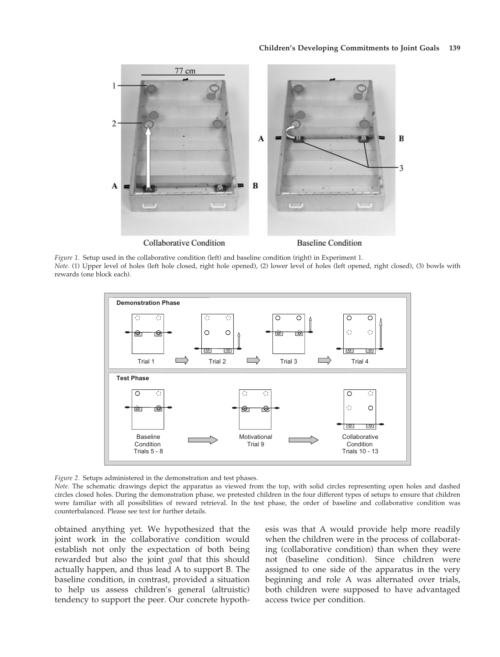

Figure 1. Setup used in the collaborative condition (left) and baseline condition (right) in Experiment 1. Note. (1) Upper level of holes (left hole closed, right hole opened), (2) lower level of holes (left opened, right closed), (3) bowls with rewards (one block each).



Figure 2. Setups administered in the demonstration and test phases.

Note. The schematic drawings depict the apparatus as viewed from the top, with solid circles representing open holes and dashed circles closed holes. During the demonstration phase, we pretested children in the four different types of setups to ensure that children were familiar with all possibilities of reward retrieval. In the test phase, the order of baseline and collaborative condition was counterbalanced. Please see text for further details.

obtained anything yet. We hypothesized that the joint work in the collaborative condition would establish not only the expectation of both being rewarded but also the joint goal that this should actually happen, and thus lead A to support B. The baseline condition, in contrast, provided a situation to help us assess children's general (altruistic) tendency to support the peer. Our concrete hypothesis was that A would provide help more readily when the children were in the process of collaborating (collaborative condition) than when they were not (baseline condition). Since children were assigned to one side of the apparatus in the very beginning and role A was alternated over trials, both children were supposed to have advantaged access twice per condition.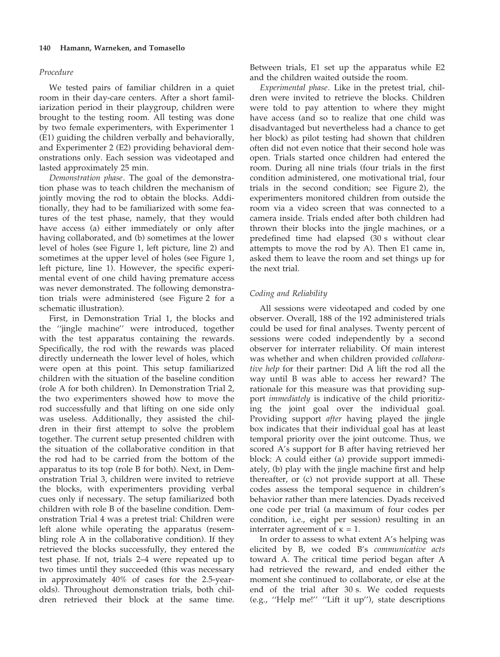## 140 Hamann, Warneken, and Tomasello

## Procedure

We tested pairs of familiar children in a quiet room in their day-care centers. After a short familiarization period in their playgroup, children were brought to the testing room. All testing was done by two female experimenters, with Experimenter 1 (E1) guiding the children verbally and behaviorally, and Experimenter 2 (E2) providing behavioral demonstrations only. Each session was videotaped and lasted approximately 25 min.

Demonstration phase. The goal of the demonstration phase was to teach children the mechanism of jointly moving the rod to obtain the blocks. Additionally, they had to be familiarized with some features of the test phase, namely, that they would have access (a) either immediately or only after having collaborated, and (b) sometimes at the lower level of holes (see Figure 1, left picture, line 2) and sometimes at the upper level of holes (see Figure 1, left picture, line 1). However, the specific experimental event of one child having premature access was never demonstrated. The following demonstration trials were administered (see Figure 2 for a schematic illustration).

First, in Demonstration Trial 1, the blocks and the ''jingle machine'' were introduced, together with the test apparatus containing the rewards. Specifically, the rod with the rewards was placed directly underneath the lower level of holes, which were open at this point. This setup familiarized children with the situation of the baseline condition (role A for both children). In Demonstration Trial 2, the two experimenters showed how to move the rod successfully and that lifting on one side only was useless. Additionally, they assisted the children in their first attempt to solve the problem together. The current setup presented children with the situation of the collaborative condition in that the rod had to be carried from the bottom of the apparatus to its top (role B for both). Next, in Demonstration Trial 3, children were invited to retrieve the blocks, with experimenters providing verbal cues only if necessary. The setup familiarized both children with role B of the baseline condition. Demonstration Trial 4 was a pretest trial: Children were left alone while operating the apparatus (resembling role A in the collaborative condition). If they retrieved the blocks successfully, they entered the test phase. If not, trials 2–4 were repeated up to two times until they succeeded (this was necessary in approximately 40% of cases for the 2.5-yearolds). Throughout demonstration trials, both children retrieved their block at the same time.

Between trials, E1 set up the apparatus while E2 and the children waited outside the room.

Experimental phase. Like in the pretest trial, children were invited to retrieve the blocks. Children were told to pay attention to where they might have access (and so to realize that one child was disadvantaged but nevertheless had a chance to get her block) as pilot testing had shown that children often did not even notice that their second hole was open. Trials started once children had entered the room. During all nine trials (four trials in the first condition administered, one motivational trial, four trials in the second condition; see Figure 2), the experimenters monitored children from outside the room via a video screen that was connected to a camera inside. Trials ended after both children had thrown their blocks into the jingle machines, or a predefined time had elapsed (30 s without clear attempts to move the rod by A). Then E1 came in, asked them to leave the room and set things up for the next trial.

## Coding and Reliability

All sessions were videotaped and coded by one observer. Overall, 188 of the 192 administered trials could be used for final analyses. Twenty percent of sessions were coded independently by a second observer for interrater reliability. Of main interest was whether and when children provided collaborative help for their partner: Did A lift the rod all the way until B was able to access her reward? The rationale for this measure was that providing support immediately is indicative of the child prioritizing the joint goal over the individual goal. Providing support after having played the jingle box indicates that their individual goal has at least temporal priority over the joint outcome. Thus, we scored A's support for B after having retrieved her block: A could either (a) provide support immediately, (b) play with the jingle machine first and help thereafter, or (c) not provide support at all. These codes assess the temporal sequence in children's behavior rather than mere latencies. Dyads received one code per trial (a maximum of four codes per condition, i.e., eight per session) resulting in an interrater agreement of  $\kappa = 1$ .

In order to assess to what extent A's helping was elicited by B, we coded B's communicative acts toward A. The critical time period began after A had retrieved the reward, and ended either the moment she continued to collaborate, or else at the end of the trial after 30 s. We coded requests (e.g., ''Help me!'' ''Lift it up''), state descriptions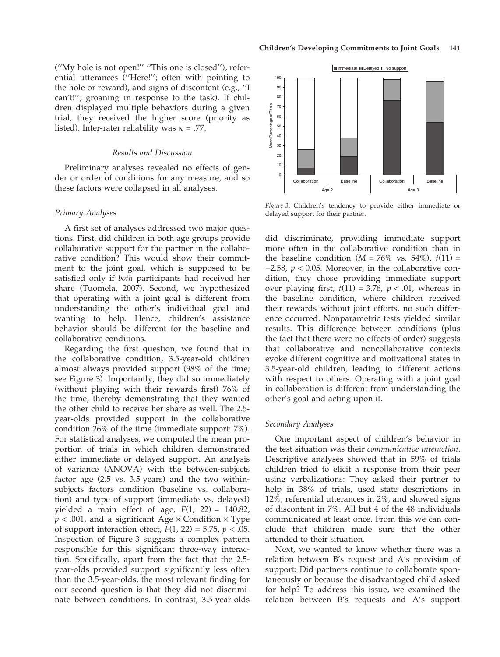#### Results and Discussion

listed). Inter-rater reliability was  $\kappa = .77$ .

Preliminary analyses revealed no effects of gender or order of conditions for any measure, and so these factors were collapsed in all analyses.

## Primary Analyses

A first set of analyses addressed two major questions. First, did children in both age groups provide collaborative support for the partner in the collaborative condition? This would show their commitment to the joint goal, which is supposed to be satisfied only if both participants had received her share (Tuomela, 2007). Second, we hypothesized that operating with a joint goal is different from understanding the other's individual goal and wanting to help. Hence, children's assistance behavior should be different for the baseline and collaborative conditions.

Regarding the first question, we found that in the collaborative condition, 3.5-year-old children almost always provided support (98% of the time; see Figure 3). Importantly, they did so immediately (without playing with their rewards first) 76% of the time, thereby demonstrating that they wanted the other child to receive her share as well. The 2.5 year-olds provided support in the collaborative condition 26% of the time (immediate support: 7%). For statistical analyses, we computed the mean proportion of trials in which children demonstrated either immediate or delayed support. An analysis of variance (ANOVA) with the between-subjects factor age (2.5 vs. 3.5 years) and the two withinsubjects factors condition (baseline vs. collaboration) and type of support (immediate vs. delayed) yielded a main effect of age,  $F(1, 22) = 140.82$ ,  $p < .001$ , and a significant Age  $\times$  Condition  $\times$  Type of support interaction effect,  $F(1, 22) = 5.75$ ,  $p < .05$ . Inspection of Figure 3 suggests a complex pattern responsible for this significant three-way interaction. Specifically, apart from the fact that the 2.5 year-olds provided support significantly less often than the 3.5-year-olds, the most relevant finding for our second question is that they did not discriminate between conditions. In contrast, 3.5-year-olds



Figure 3. Children's tendency to provide either immediate or delayed support for their partner.

did discriminate, providing immediate support more often in the collaborative condition than in the baseline condition  $(M = 76\%$  vs. 54%),  $t(11) =$  $-2.58$ ,  $p < 0.05$ . Moreover, in the collaborative condition, they chose providing immediate support over playing first,  $t(11) = 3.76$ ,  $p < .01$ , whereas in the baseline condition, where children received their rewards without joint efforts, no such difference occurred. Nonparametric tests yielded similar results. This difference between conditions (plus the fact that there were no effects of order) suggests that collaborative and noncollaborative contexts evoke different cognitive and motivational states in 3.5-year-old children, leading to different actions with respect to others. Operating with a joint goal in collaboration is different from understanding the other's goal and acting upon it.

## Secondary Analyses

One important aspect of children's behavior in the test situation was their communicative interaction. Descriptive analyses showed that in 59% of trials children tried to elicit a response from their peer using verbalizations: They asked their partner to help in 38% of trials, used state descriptions in 12%, referential utterances in 2%, and showed signs of discontent in 7%. All but 4 of the 48 individuals communicated at least once. From this we can conclude that children made sure that the other attended to their situation.

Next, we wanted to know whether there was a relation between B's request and A's provision of support: Did partners continue to collaborate spontaneously or because the disadvantaged child asked for help? To address this issue, we examined the relation between B's requests and A's support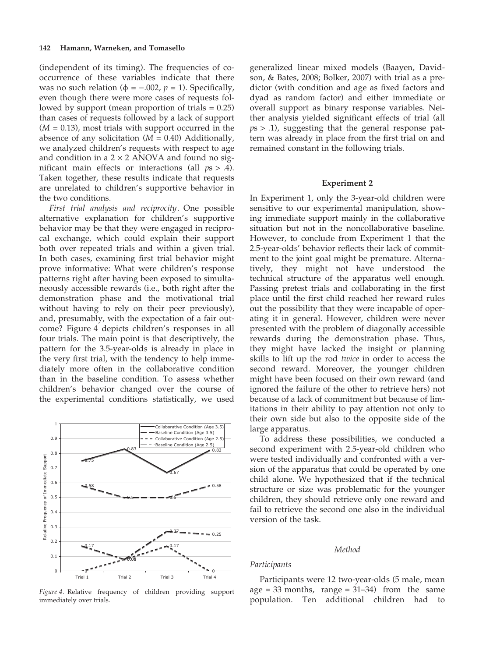(independent of its timing). The frequencies of cooccurrence of these variables indicate that there was no such relation ( $\phi = -.002$ ,  $p = 1$ ). Specifically, even though there were more cases of requests followed by support (mean proportion of trials = 0.25) than cases of requests followed by a lack of support  $(M = 0.13)$ , most trials with support occurred in the absence of any solicitation  $(M = 0.40)$  Additionally, we analyzed children's requests with respect to age and condition in a  $2 \times 2$  ANOVA and found no significant main effects or interactions (all  $ps > .4$ ). Taken together, these results indicate that requests are unrelated to children's supportive behavior in the two conditions.

First trial analysis and reciprocity. One possible alternative explanation for children's supportive behavior may be that they were engaged in reciprocal exchange, which could explain their support both over repeated trials and within a given trial. In both cases, examining first trial behavior might prove informative: What were children's response patterns right after having been exposed to simultaneously accessible rewards (i.e., both right after the demonstration phase and the motivational trial without having to rely on their peer previously), and, presumably, with the expectation of a fair outcome? Figure 4 depicts children's responses in all four trials. The main point is that descriptively, the pattern for the 3.5-year-olds is already in place in the very first trial, with the tendency to help immediately more often in the collaborative condition than in the baseline condition. To assess whether children's behavior changed over the course of the experimental conditions statistically, we used



Figure 4. Relative frequency of children providing support immediately over trials.

generalized linear mixed models (Baayen, Davidson, & Bates, 2008; Bolker, 2007) with trial as a predictor (with condition and age as fixed factors and dyad as random factor) and either immediate or overall support as binary response variables. Neither analysis yielded significant effects of trial (all  $ps > .1$ , suggesting that the general response pattern was already in place from the first trial on and remained constant in the following trials.

#### Experiment 2

In Experiment 1, only the 3-year-old children were sensitive to our experimental manipulation, showing immediate support mainly in the collaborative situation but not in the noncollaborative baseline. However, to conclude from Experiment 1 that the 2.5-year-olds' behavior reflects their lack of commitment to the joint goal might be premature. Alternatively, they might not have understood the technical structure of the apparatus well enough. Passing pretest trials and collaborating in the first place until the first child reached her reward rules out the possibility that they were incapable of operating it in general. However, children were never presented with the problem of diagonally accessible rewards during the demonstration phase. Thus, they might have lacked the insight or planning skills to lift up the rod twice in order to access the second reward. Moreover, the younger children might have been focused on their own reward (and ignored the failure of the other to retrieve hers) not because of a lack of commitment but because of limitations in their ability to pay attention not only to their own side but also to the opposite side of the large apparatus.

To address these possibilities, we conducted a second experiment with 2.5-year-old children who were tested individually and confronted with a version of the apparatus that could be operated by one child alone. We hypothesized that if the technical structure or size was problematic for the younger children, they should retrieve only one reward and fail to retrieve the second one also in the individual version of the task.

#### Method

#### Participants

Participants were 12 two-year-olds (5 male, mean age =  $33$  months, range =  $31-34$ ) from the same population. Ten additional children had to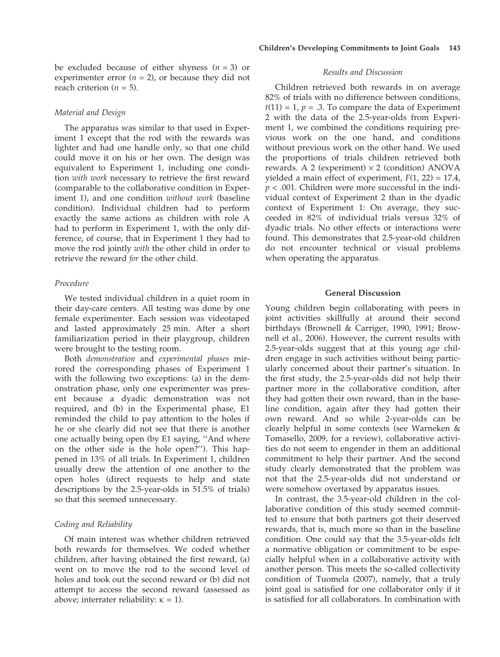be excluded because of either shyness  $(n = 3)$  or experimenter error  $(n = 2)$ , or because they did not reach criterion ( $n = 5$ ).

## Material and Design

The apparatus was similar to that used in Experiment 1 except that the rod with the rewards was lighter and had one handle only, so that one child could move it on his or her own. The design was equivalent to Experiment 1, including one condition with work necessary to retrieve the first reward (comparable to the collaborative condition in Experiment 1), and one condition without work (baseline condition). Individual children had to perform exactly the same actions as children with role A had to perform in Experiment 1, with the only difference, of course, that in Experiment 1 they had to move the rod jointly with the other child in order to retrieve the reward for the other child.

## Procedure

We tested individual children in a quiet room in their day-care centers. All testing was done by one female experimenter. Each session was videotaped and lasted approximately 25 min. After a short familiarization period in their playgroup, children were brought to the testing room.

Both demonstration and experimental phases mirrored the corresponding phases of Experiment 1 with the following two exceptions: (a) in the demonstration phase, only one experimenter was present because a dyadic demonstration was not required, and (b) in the Experimental phase, E1 reminded the child to pay attention to the holes if he or she clearly did not see that there is another one actually being open (by E1 saying, ''And where on the other side is the hole open?''). This happened in 13% of all trials. In Experiment 1, children usually drew the attention of one another to the open holes (direct requests to help and state descriptions by the 2.5-year-olds in 51.5% of trials) so that this seemed unnecessary.

## Coding and Reliability

Of main interest was whether children retrieved both rewards for themselves. We coded whether children, after having obtained the first reward, (a) went on to move the rod to the second level of holes and took out the second reward or (b) did not attempt to access the second reward (assessed as above; interrater reliability:  $\kappa = 1$ ).

#### Results and Discussion

Children retrieved both rewards in on average 82% of trials with no difference between conditions,  $t(11) = 1$ ,  $p = .3$ . To compare the data of Experiment 2 with the data of the 2.5-year-olds from Experiment 1, we combined the conditions requiring previous work on the one hand, and conditions without previous work on the other hand. We used the proportions of trials children retrieved both rewards. A 2 (experiment)  $\times$  2 (condition) ANOVA yielded a main effect of experiment,  $F(1, 22) = 17.4$ ,  $p < .001$ . Children were more successful in the individual context of Experiment 2 than in the dyadic context of Experiment 1: On average, they succeeded in 82% of individual trials versus 32% of dyadic trials. No other effects or interactions were found. This demonstrates that 2.5-year-old children do not encounter technical or visual problems when operating the apparatus.

#### General Discussion

Young children begin collaborating with peers in joint activities skillfully at around their second birthdays (Brownell & Carriger, 1990, 1991; Brownell et al., 2006). However, the current results with 2.5-year-olds suggest that at this young age children engage in such activities without being particularly concerned about their partner's situation. In the first study, the 2.5-year-olds did not help their partner more in the collaborative condition, after they had gotten their own reward, than in the baseline condition, again after they had gotten their own reward. And so while 2-year-olds can be clearly helpful in some contexts (see Warneken & Tomasello, 2009, for a review), collaborative activities do not seem to engender in them an additional commitment to help their partner. And the second study clearly demonstrated that the problem was not that the 2.5-year-olds did not understand or were somehow overtaxed by apparatus issues.

In contrast, the 3.5-year-old children in the collaborative condition of this study seemed committed to ensure that both partners got their deserved rewards, that is, much more so than in the baseline condition. One could say that the 3.5-year-olds felt a normative obligation or commitment to be especially helpful when in a collaborative activity with another person. This meets the so-called collectivity condition of Tuomela (2007), namely, that a truly joint goal is satisfied for one collaborator only if it is satisfied for all collaborators. In combination with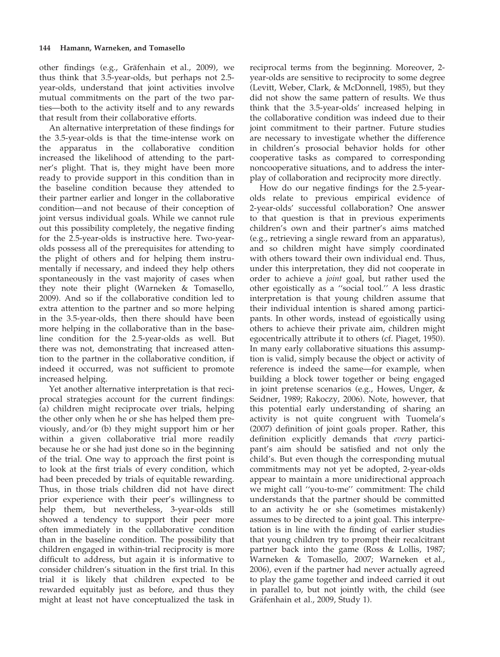## 144 Hamann, Warneken, and Tomasello

other findings (e.g., Gräfenhain et al., 2009), we thus think that 3.5-year-olds, but perhaps not 2.5 year-olds, understand that joint activities involve mutual commitments on the part of the two parties—both to the activity itself and to any rewards that result from their collaborative efforts.

An alternative interpretation of these findings for the 3.5-year-olds is that the time-intense work on the apparatus in the collaborative condition increased the likelihood of attending to the partner's plight. That is, they might have been more ready to provide support in this condition than in the baseline condition because they attended to their partner earlier and longer in the collaborative condition—and not because of their conception of joint versus individual goals. While we cannot rule out this possibility completely, the negative finding for the 2.5-year-olds is instructive here. Two-yearolds possess all of the prerequisites for attending to the plight of others and for helping them instrumentally if necessary, and indeed they help others spontaneously in the vast majority of cases when they note their plight (Warneken & Tomasello, 2009). And so if the collaborative condition led to extra attention to the partner and so more helping in the 3.5-year-olds, then there should have been more helping in the collaborative than in the baseline condition for the 2.5-year-olds as well. But there was not, demonstrating that increased attention to the partner in the collaborative condition, if indeed it occurred, was not sufficient to promote increased helping.

Yet another alternative interpretation is that reciprocal strategies account for the current findings: (a) children might reciprocate over trials, helping the other only when he or she has helped them previously, and/or (b) they might support him or her within a given collaborative trial more readily because he or she had just done so in the beginning of the trial. One way to approach the first point is to look at the first trials of every condition, which had been preceded by trials of equitable rewarding. Thus, in those trials children did not have direct prior experience with their peer's willingness to help them, but nevertheless, 3-year-olds still showed a tendency to support their peer more often immediately in the collaborative condition than in the baseline condition. The possibility that children engaged in within-trial reciprocity is more difficult to address, but again it is informative to consider children's situation in the first trial. In this trial it is likely that children expected to be rewarded equitably just as before, and thus they might at least not have conceptualized the task in

reciprocal terms from the beginning. Moreover, 2 year-olds are sensitive to reciprocity to some degree (Levitt, Weber, Clark, & McDonnell, 1985), but they did not show the same pattern of results. We thus think that the 3.5-year-olds' increased helping in the collaborative condition was indeed due to their joint commitment to their partner. Future studies are necessary to investigate whether the difference in children's prosocial behavior holds for other cooperative tasks as compared to corresponding noncooperative situations, and to address the interplay of collaboration and reciprocity more directly.

How do our negative findings for the 2.5-yearolds relate to previous empirical evidence of 2-year-olds' successful collaboration? One answer to that question is that in previous experiments children's own and their partner's aims matched (e.g., retrieving a single reward from an apparatus), and so children might have simply coordinated with others toward their own individual end. Thus, under this interpretation, they did not cooperate in order to achieve a joint goal, but rather used the other egoistically as a ''social tool.'' A less drastic interpretation is that young children assume that their individual intention is shared among participants. In other words, instead of egoistically using others to achieve their private aim, children might egocentrically attribute it to others (cf. Piaget, 1950). In many early collaborative situations this assumption is valid, simply because the object or activity of reference is indeed the same—for example, when building a block tower together or being engaged in joint pretense scenarios (e.g., Howes, Unger, & Seidner, 1989; Rakoczy, 2006). Note, however, that this potential early understanding of sharing an activity is not quite congruent with Tuomela's (2007) definition of joint goals proper. Rather, this definition explicitly demands that every participant's aim should be satisfied and not only the child's. But even though the corresponding mutual commitments may not yet be adopted, 2-year-olds appear to maintain a more unidirectional approach we might call ''you-to-me'' commitment: The child understands that the partner should be committed to an activity he or she (sometimes mistakenly) assumes to be directed to a joint goal. This interpretation is in line with the finding of earlier studies that young children try to prompt their recalcitrant partner back into the game (Ross & Lollis, 1987; Warneken & Tomasello, 2007; Warneken et al., 2006), even if the partner had never actually agreed to play the game together and indeed carried it out in parallel to, but not jointly with, the child (see Gräfenhain et al., 2009, Study 1).